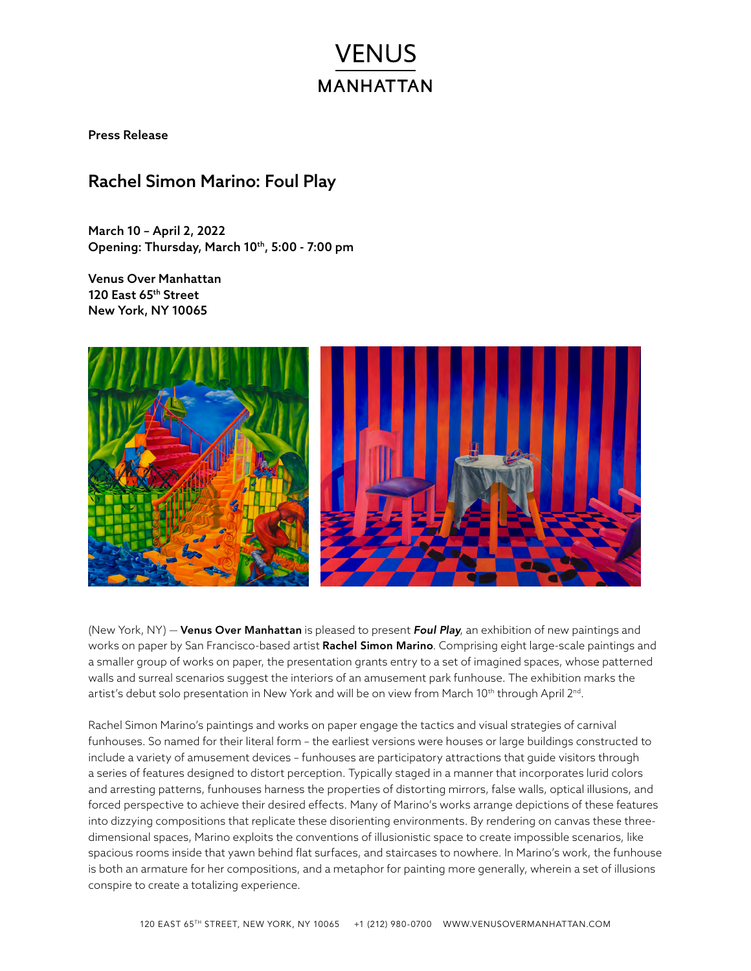# **VENUS MANHATTAN**

Press Release

# Rachel Simon Marino: Foul Play

March 10 – April 2, 2022 Opening: Thursday, March 10th, 5:00 - 7:00 pm

Venus Over Manhattan 120 East 65th Street New York, NY 10065



(New York, NY) — Venus Over Manhattan is pleased to present *Foul Play*, an exhibition of new paintings and works on paper by San Francisco-based artist Rachel Simon Marino. Comprising eight large-scale paintings and a smaller group of works on paper, the presentation grants entry to a set of imagined spaces, whose patterned walls and surreal scenarios suggest the interiors of an amusement park funhouse. The exhibition marks the artist's debut solo presentation in New York and will be on view from March 10<sup>th</sup> through April 2<sup>nd</sup>.

Rachel Simon Marino's paintings and works on paper engage the tactics and visual strategies of carnival funhouses. So named for their literal form – the earliest versions were houses or large buildings constructed to include a variety of amusement devices – funhouses are participatory attractions that guide visitors through a series of features designed to distort perception. Typically staged in a manner that incorporates lurid colors and arresting patterns, funhouses harness the properties of distorting mirrors, false walls, optical illusions, and forced perspective to achieve their desired effects. Many of Marino's works arrange depictions of these features into dizzying compositions that replicate these disorienting environments. By rendering on canvas these threedimensional spaces, Marino exploits the conventions of illusionistic space to create impossible scenarios, like spacious rooms inside that yawn behind flat surfaces, and staircases to nowhere. In Marino's work, the funhouse is both an armature for her compositions, and a metaphor for painting more generally, wherein a set of illusions conspire to create a totalizing experience.